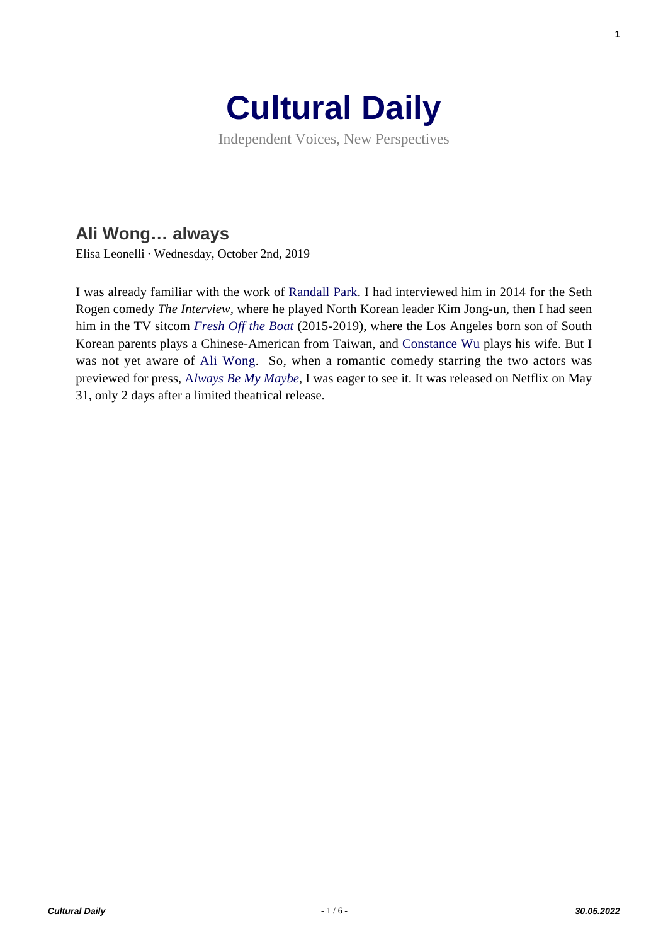

Independent Voices, New Perspectives

## **[Ali Wong… always](https://culturaldaily.com/ali-wong/)**

Elisa Leonelli · Wednesday, October 2nd, 2019

I was already familiar with the work of [Randall Park.](https://en.wikipedia.org/wiki/Randall_Park) I had interviewed him in 2014 for the Seth Rogen comedy *The Interview,* where he played North Korean leader Kim Jong-un, then I had seen him in the TV sitcom *[Fresh Off the Boat](https://en.wikipedia.org/wiki/Fresh_Off_the_Boat)* (2015-2019), where the Los Angeles born son of South Korean parents plays a Chinese-American from Taiwan, and [Constance Wu](https://en.wikipedia.org/wiki/Constance_Wu) plays his wife. But I was not yet aware of [Ali Wong.](https://en.wikipedia.org/wiki/Ali_Wong) So, when a romantic comedy starring the two actors was previewed for press, [A](https://en.wikipedia.org/wiki/Always_Be_My_Maybe_(2019_film))*[lways Be My Maybe](https://en.wikipedia.org/wiki/Always_Be_My_Maybe_(2019_film))*, I was eager to see it. It was released on Netflix on May 31, only 2 days after a limited theatrical release.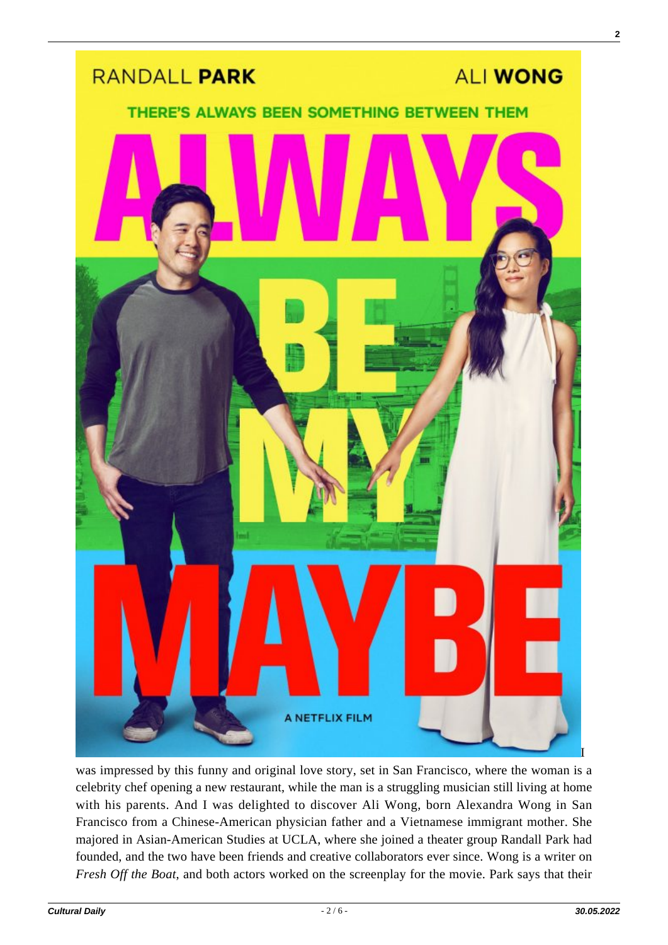

was impressed by this funny and original love story, set in San Francisco, where the woman is a celebrity chef opening a new restaurant, while the man is a struggling musician still living at home with his parents. And I was delighted to discover Ali Wong, born Alexandra Wong in San Francisco from a Chinese-American physician father and a Vietnamese immigrant mother. She majored in Asian-American Studies at UCLA, where she joined a theater group Randall Park had founded, and the two have been friends and creative collaborators ever since. Wong is a writer on *Fresh Off the Boat*, and both actors worked on the screenplay for the movie. Park says that their **2**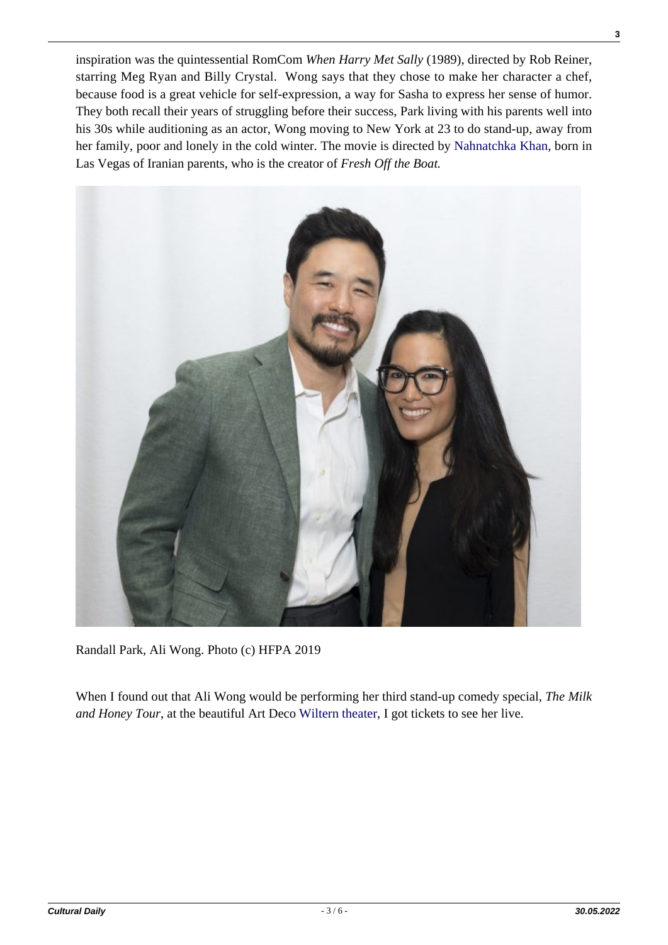inspiration was the quintessential RomCom *When Harry Met Sally* (1989), directed by Rob Reiner, starring Meg Ryan and Billy Crystal. Wong says that they chose to make her character a chef, because food is a great vehicle for self-expression, a way for Sasha to express her sense of humor. They both recall their years of struggling before their success, Park living with his parents well into his 30s while auditioning as an actor, Wong moving to New York at 23 to do stand-up, away from her family, poor and lonely in the cold winter. The movie is directed by [Nahnatchka Khan](https://en.wikipedia.org/wiki/Nahnatchka_Khan), born in Las Vegas of Iranian parents, who is the creator of *Fresh Off the Boat.*



Randall Park, Ali Wong. Photo (c) HFPA 2019

When I found out that Ali Wong would be performing her third stand-up comedy special, *The Milk and Honey Tour*, at the beautiful Art Deco [Wiltern theater](https://en.wikipedia.org/wiki/Pellissier_Building_and_Wiltern_Theatre), I got tickets to see her live.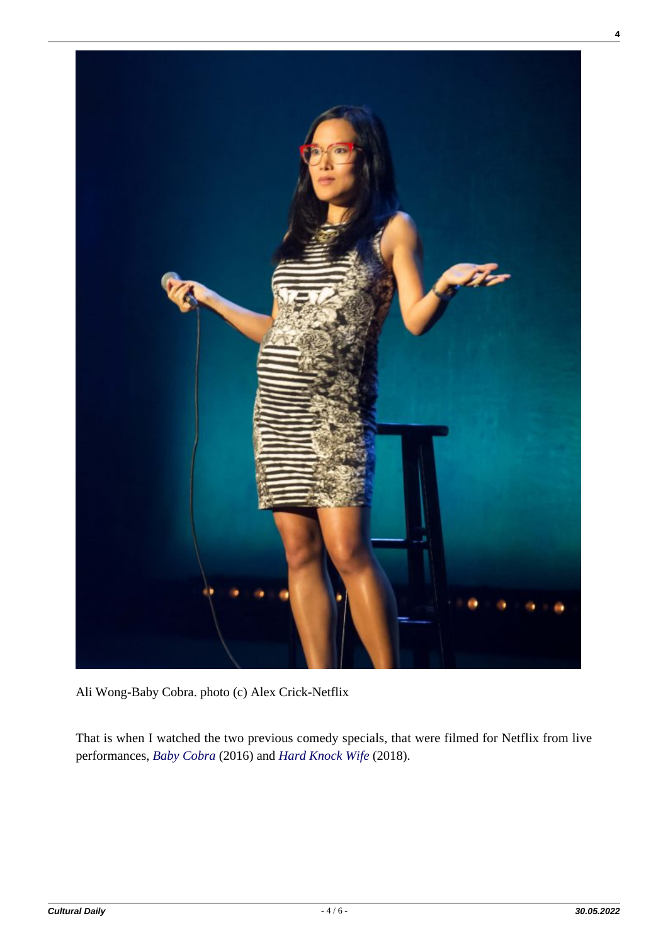

Ali Wong-Baby Cobra. photo (c) Alex Crick-Netflix

That is when I watched the two previous comedy specials, that were filmed for Netflix from live performances, *[Baby Cobra](https://www.youtube.com/watch?v=XY9h-0x1Oao&app=desktop)* (2016) and *[Hard Knock Wife](https://www.youtube.com/watch?v=6bB_XlzERp4)* (2018).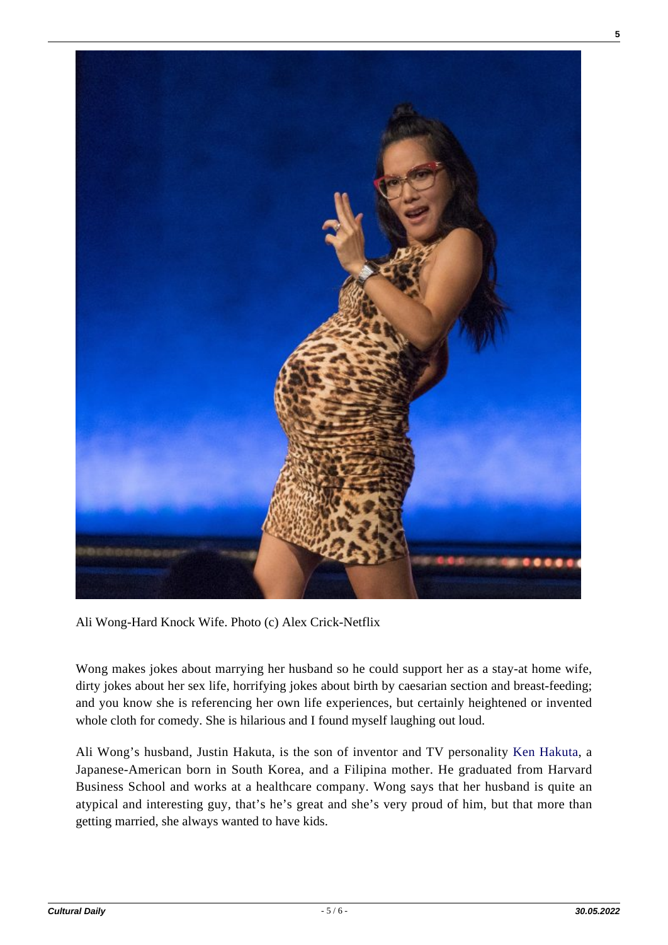

Ali Wong-Hard Knock Wife. Photo (c) Alex Crick-Netflix

Wong makes jokes about marrying her husband so he could support her as a stay-at home wife, dirty jokes about her sex life, horrifying jokes about birth by caesarian section and breast-feeding; and you know she is referencing her own life experiences, but certainly heightened or invented whole cloth for comedy. She is hilarious and I found myself laughing out loud.

Ali Wong's husband, Justin Hakuta, is the son of inventor and TV personality [Ken Hakuta,](https://en.wikipedia.org/wiki/Ken_Hakuta) a Japanese-American born in South Korea, and a Filipina mother. He graduated from Harvard Business School and works at a healthcare company. Wong says that her husband is quite an atypical and interesting guy, that's he's great and she's very proud of him, but that more than getting married, she always wanted to have kids.